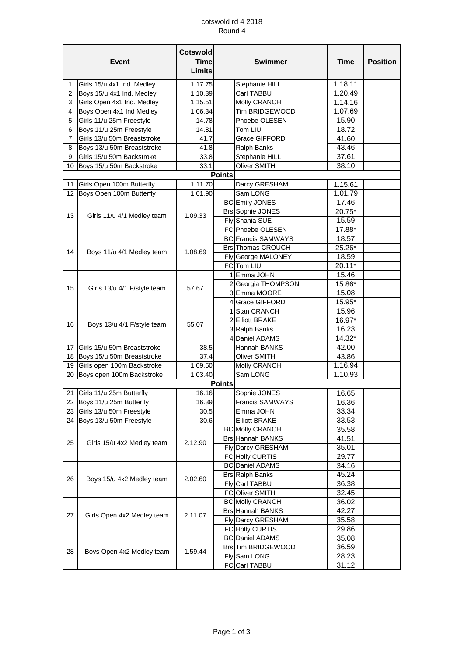## cotswold rd 4 2018 Round 4

| <b>Event</b>   |                               | <b>Cotswold</b><br><b>Time</b><br>Limits | <b>Swimmer</b> |                           | <b>Time</b> | <b>Position</b> |
|----------------|-------------------------------|------------------------------------------|----------------|---------------------------|-------------|-----------------|
| 1              | Girls 15/u 4x1 Ind. Medley    | 1.17.75                                  |                | Stephanie HILL            | 1.18.11     |                 |
| $\overline{2}$ | Boys 15/u 4x1 Ind. Medley     | 1.10.39                                  |                | Carl TABBU                | 1.20.49     |                 |
| 3              | Girls Open 4x1 Ind. Medley    | 1.15.51                                  |                | Molly CRANCH              | 1.14.16     |                 |
| 4              | Boys Open 4x1 Ind Medley      | 1.06.34                                  |                | Tim BRIDGEWOOD            | 1.07.69     |                 |
| 5              | Girls 11/u 25m Freestyle      | 14.78                                    |                | Phoebe OLESEN             | 15.90       |                 |
| 6              | Boys 11/u 25m Freestyle       | 14.81                                    |                | Tom LIU                   | 18.72       |                 |
| 7              | Girls 13/u 50m Breaststroke   | 41.7                                     |                | Grace GIFFORD             | 41.60       |                 |
| 8              | Boys 13/u 50m Breaststroke    | 41.8                                     |                | Ralph Banks               | 43.46       |                 |
| 9              | Girls 15/u 50m Backstroke     | 33.8                                     |                | Stephanie HILL            | 37.61       |                 |
|                | 10 Boys 15/u 50m Backstroke   | 33.1                                     |                | Oliver SMITH              | 38.10       |                 |
|                |                               |                                          | <b>Points</b>  |                           |             |                 |
| 11             | Girls Open 100m Butterfly     | 1.11.70                                  |                | Darcy GRESHAM             | 1.15.61     |                 |
|                | 12 Boys Open 100m Butterfly   | 1.01.90                                  |                | Sam LONG                  | 1.01.79     |                 |
|                |                               |                                          |                | <b>BC</b> Emily JONES     | 17.46       |                 |
| 13             | Girls 11/u 4/1 Medley team    | 1.09.33                                  |                | <b>Brs Sophie JONES</b>   | 20.75*      |                 |
|                |                               |                                          |                | Fly Shania SUE            | 15.59       |                 |
|                |                               |                                          |                | FC Phoebe OLESEN          | 17.88*      |                 |
|                |                               |                                          |                | <b>BC</b> Francis SAMWAYS | 18.57       |                 |
| 14             | Boys 11/u 4/1 Medley team     | 1.08.69                                  |                | <b>Brs</b> Thomas CROUCH  | 25.26*      |                 |
|                |                               |                                          |                | Fly George MALONEY        | 18.59       |                 |
|                |                               |                                          |                | FC Tom LIU                | $20.11*$    |                 |
|                |                               |                                          |                | 1 Emma JOHN               | 15.46       |                 |
| 15             | Girls 13/u 4/1 F/style team   | 57.67                                    |                | 2 Georgia THOMPSON        | 15.86*      |                 |
|                |                               |                                          |                | 3 Emma MOORE              | 15.08       |                 |
|                |                               |                                          |                | 4 Grace GIFFORD           | 15.95*      |                 |
|                |                               |                                          |                | 1 Stan CRANCH             | 15.96       |                 |
| 16             | Boys 13/u 4/1 F/style team    | 55.07                                    |                | 2 Elliott BRAKE           | 16.97*      |                 |
|                |                               |                                          |                | 3 Ralph Banks             | 16.23       |                 |
|                |                               |                                          |                | 4 Daniel ADAMS            | 14.32*      |                 |
| 17 I           | Girls 15/u 50m Breaststroke   | 38.5                                     |                | Hannah BANKS              | 42.00       |                 |
|                | 18 Boys 15/u 50m Breaststroke | 37.4                                     |                | <b>Oliver SMITH</b>       | 43.86       |                 |
|                | 19 Girls open 100m Backstroke | 1.09.50                                  |                | Molly CRANCH              | 1.16.94     |                 |
|                | 20 Boys open 100m Backstroke  | 1.03.40                                  | <b>Points</b>  | Sam LONG                  | 1.10.93     |                 |
|                |                               |                                          |                |                           |             |                 |
|                | 21 Girls 11/u 25m Butterfly   | 16.16                                    |                | Sophie JONES              | 16.65       |                 |
|                | 22 Boys 11/u 25m Butterfly    | 16.39                                    |                | Francis SAMWAYS           | 16.36       |                 |
|                | 23 Girls 13/u 50m Freestyle   | 30.5                                     |                | Emma JOHN                 | 33.34       |                 |
|                | 24 Boys 13/u 50m Freestyle    | 30.6                                     |                | <b>Elliott BRAKE</b>      | 33.53       |                 |
|                | Girls 15/u 4x2 Medley team    |                                          |                | <b>BC</b> Molly CRANCH    | 35.58       |                 |
| 25             |                               | 2.12.90                                  |                | <b>Brs Hannah BANKS</b>   | 41.51       |                 |
|                |                               |                                          |                | <b>Fly Darcy GRESHAM</b>  | 35.01       |                 |
|                |                               |                                          |                | <b>FC Holly CURTIS</b>    | 29.77       |                 |
|                | Boys 15/u 4x2 Medley team     | 2.02.60                                  |                | <b>BC</b> Daniel ADAMS    | 34.16       |                 |
| 26             |                               |                                          |                | <b>Brs Ralph Banks</b>    | 45.24       |                 |
|                |                               |                                          |                | Fly Carl TABBU            | 36.38       |                 |
|                |                               |                                          |                | FC Oliver SMITH           | 32.45       |                 |
| 27             | Girls Open 4x2 Medley team    | 2.11.07                                  |                | <b>BC</b> Molly CRANCH    | 36.02       |                 |
|                |                               |                                          |                | <b>Brs</b> Hannah BANKS   | 42.27       |                 |
|                |                               |                                          |                | Fly Darcy GRESHAM         | 35.58       |                 |
|                |                               |                                          |                | FC Holly CURTIS           | 29.86       |                 |
|                |                               | 1.59.44                                  |                | <b>BC</b> Daniel ADAMS    | 35.08       |                 |
| 28             | Boys Open 4x2 Medley team     |                                          |                | Brs Tim BRIDGEWOOD        | 36.59       |                 |
|                |                               |                                          |                | Fly Sam LONG              | 28.23       |                 |
|                |                               |                                          |                | FC Carl TABBU             | 31.12       |                 |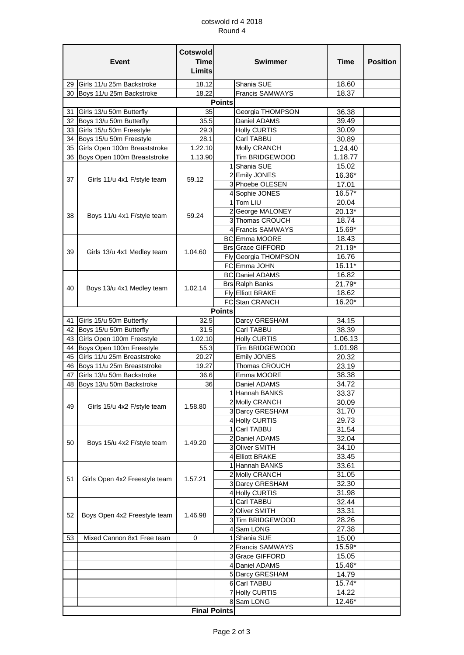## cotswold rd 4 2018 Round 4

| <b>Event</b> |                                 | <b>Cotswold</b><br><b>Time</b><br><b>Limits</b> | <b>Swimmer</b> |                                | <b>Time</b>     | <b>Position</b> |
|--------------|---------------------------------|-------------------------------------------------|----------------|--------------------------------|-----------------|-----------------|
|              | 29 Girls 11/u 25m Backstroke    | 18.12                                           |                | Shania SUE                     | 18.60           |                 |
|              | 30 Boys 11/u 25m Backstroke     | 18.22                                           |                | <b>Francis SAMWAYS</b>         | 18.37           |                 |
|              |                                 | <b>Points</b>                                   |                |                                |                 |                 |
|              | 31 Girls 13/u 50m Butterfly     | 35                                              |                | Georgia THOMPSON               | 36.38           |                 |
|              | 32 Boys 13/u 50m Butterfly      | 35.5                                            |                | Daniel ADAMS                   | 39.49           |                 |
| 33           | Girls 15/u 50m Freestyle        | 29.3                                            |                | <b>Holly CURTIS</b>            | 30.09           |                 |
|              | 34 Boys 15/u 50m Freestyle      | 28.1                                            |                | Carl TABBU                     | 30.89           |                 |
|              | 35 Girls Open 100m Breaststroke | 1.22.10                                         |                | Molly CRANCH                   | 1.24.40         |                 |
|              | 36 Boys Open 100m Breaststroke  | 1.13.90                                         |                | Tim BRIDGEWOOD                 | 1.18.77         |                 |
| 37           | Girls 11/u 4x1 F/style team     | 59.12                                           |                | 1 Shania SUE<br>2 Emily JONES  | 15.02<br>16.36* |                 |
|              |                                 |                                                 |                | 3 Phoebe OLESEN                | 17.01           |                 |
|              |                                 |                                                 |                | 4 Sophie JONES                 | 16.57*          |                 |
|              |                                 |                                                 |                | 1 Tom LIU                      | 20.04           |                 |
|              |                                 | 59.24                                           |                | 2 George MALONEY               | 20.13*          |                 |
| 38           | Boys 11/u 4x1 F/style team      |                                                 |                | 3 Thomas CROUCH                | 18.74           |                 |
|              |                                 |                                                 |                | 4 Francis SAMWAYS              | 15.69*          |                 |
|              |                                 |                                                 |                | <b>BC</b> Emma MOORE           | 18.43           |                 |
|              |                                 |                                                 |                | <b>Brs Grace GIFFORD</b>       | $21.19*$        |                 |
| 39           | Girls 13/u 4x1 Medley team      | 1.04.60                                         |                | Fly Georgia THOMPSON           | 16.76           |                 |
|              |                                 |                                                 |                | FC Emma JOHN                   | 16.11*          |                 |
|              |                                 |                                                 |                | <b>BC</b> Daniel ADAMS         | 16.82           |                 |
|              | Boys 13/u 4x1 Medley team       |                                                 |                | <b>Brs Ralph Banks</b>         | 21.79*          |                 |
| 40           |                                 | 1.02.14                                         |                | Fly Elliott BRAKE              | 18.62           |                 |
|              |                                 |                                                 |                | FC Stan CRANCH                 | 16.20*          |                 |
|              |                                 |                                                 | <b>Points</b>  |                                |                 |                 |
| 41           | Girls 15/u 50m Butterfly        | 32.5                                            |                | Darcy GRESHAM                  | 34.15           |                 |
|              | 42 Boys 15/u 50m Butterfly      | 31.5                                            |                | Carl TABBU                     | 38.39           |                 |
|              | 43 Girls Open 100m Freestyle    | 1.02.10                                         |                | <b>Holly CURTIS</b>            | 1.06.13         |                 |
|              | 44 Boys Open 100m Freestyle     | 55.3                                            |                | Tim BRIDGEWOOD                 | 1.01.98         |                 |
| 45           | Girls 11/u 25m Breaststroke     | 20.27                                           |                | <b>Emily JONES</b>             | 20.32           |                 |
|              | 46 Boys 11/u 25m Breaststroke   | 19.27                                           |                | Thomas CROUCH                  | 23.19           |                 |
| 47           | Girls 13/u 50m Backstroke       | 36.6                                            |                | Emma MOORE                     | 38.38           |                 |
|              | 48 Boys 13/u 50m Backstroke     | 36                                              |                | Daniel ADAMS                   | 34.72           |                 |
|              |                                 |                                                 |                | 1 Hannah BANKS                 | 33.37           |                 |
| 49           | Girls 15/u 4x2 F/style team     | 1.58.80                                         |                | 2 Molly CRANCH                 | 30.09           |                 |
|              |                                 |                                                 |                | 3 Darcy GRESHAM                | 31.70           |                 |
|              |                                 |                                                 |                | 4 Holly CURTIS<br>1 Carl TABBU | 29.73           |                 |
|              | Boys 15/u 4x2 F/style team      | 1.49.20                                         |                | 2 Daniel ADAMS                 | 31.54<br>32.04  |                 |
| 50           |                                 |                                                 |                | 3 Oliver SMITH                 | 34.10           |                 |
|              |                                 |                                                 |                | 4 Elliott BRAKE                | 33.45           |                 |
|              | Girls Open 4x2 Freestyle team   |                                                 |                | 1 Hannah BANKS                 | 33.61           |                 |
|              |                                 |                                                 |                | 2 Molly CRANCH                 | 31.05           |                 |
| 51           |                                 | 1.57.21                                         |                | 3 Darcy GRESHAM                | 32.30           |                 |
|              |                                 |                                                 |                | 4 Holly CURTIS                 | 31.98           |                 |
|              | Boys Open 4x2 Freestyle team    | 1.46.98                                         |                | 1 Carl TABBU                   | 32.44           |                 |
| 52           |                                 |                                                 |                | 2 Oliver SMITH                 | 33.31           |                 |
|              |                                 |                                                 |                | 3 Tim BRIDGEWOOD               | 28.26           |                 |
|              |                                 |                                                 |                | 4 Sam LONG                     | 27.38           |                 |
| 53           | Mixed Cannon 8x1 Free team      | 0                                               |                | 1 Shania SUE                   | 15.00           |                 |
|              |                                 |                                                 |                | 2 Francis SAMWAYS              | 15.59*          |                 |
|              |                                 |                                                 |                | 3 Grace GIFFORD                | 15.05           |                 |
|              |                                 |                                                 |                | 4 Daniel ADAMS                 | 15.46*          |                 |
|              |                                 |                                                 |                | 5 Darcy GRESHAM                | 14.79           |                 |
|              |                                 |                                                 |                | 6 Carl TABBU                   | 15.74*          |                 |
|              |                                 |                                                 |                | 7 Holly CURTIS                 | 14.22           |                 |
|              |                                 |                                                 |                | 8 Sam LONG                     | 12.46*          |                 |
|              |                                 | <b>Final Points</b>                             |                |                                |                 |                 |